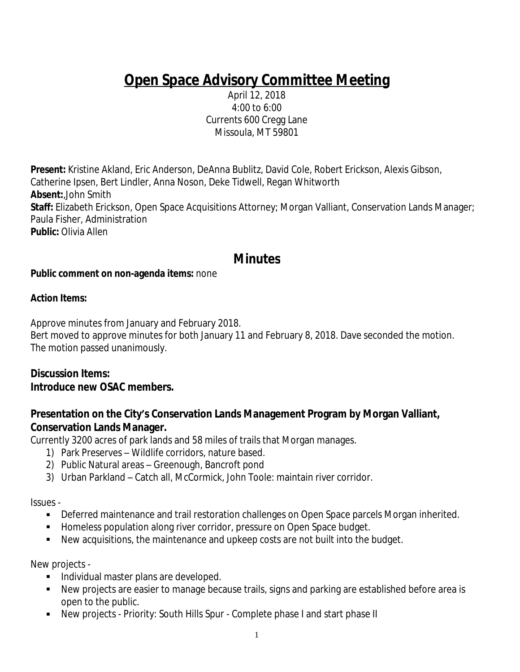# **Open Space Advisory Committee Meeting**

April 12, 2018 4:00 to 6:00 Currents 600 Cregg Lane Missoula, MT 59801

**Present:** Kristine Akland, Eric Anderson, DeAnna Bublitz, David Cole, Robert Erickson, Alexis Gibson, Catherine Ipsen, Bert Lindler, Anna Noson, Deke Tidwell, Regan Whitworth **Absent:**,John Smith **Staff:** Elizabeth Erickson, Open Space Acquisitions Attorney; Morgan Valliant, Conservation Lands Manager; Paula Fisher, Administration **Public:** Olivia Allen

## **Minutes**

#### **Public comment on non-agenda items:** none

#### **Action Items:**

Approve minutes from January and February 2018.

Bert moved to approve minutes for both January 11 and February 8, 2018. Dave seconded the motion. The motion passed unanimously.

#### **Discussion Items: Introduce new OSAC members.**

### **Presentation on the City's Conservation Lands Management Program by Morgan Valliant, Conservation Lands Manager.**

Currently 3200 acres of park lands and 58 miles of trails that Morgan manages.

- 1) Park Preserves Wildlife corridors, nature based.
- 2) Public Natural areas Greenough, Bancroft pond
- 3) Urban Parkland Catch all, McCormick, John Toole: maintain river corridor.

Issues -

- Deferred maintenance and trail restoration challenges on Open Space parcels Morgan inherited.
- **Homeless population along river corridor, pressure on Open Space budget.**
- New acquisitions, the maintenance and upkeep costs are not built into the budget.

New projects -

- Individual master plans are developed.
- New projects are easier to manage because trails, signs and parking are established before area is open to the public.
- New projects Priority: South Hills Spur Complete phase I and start phase II